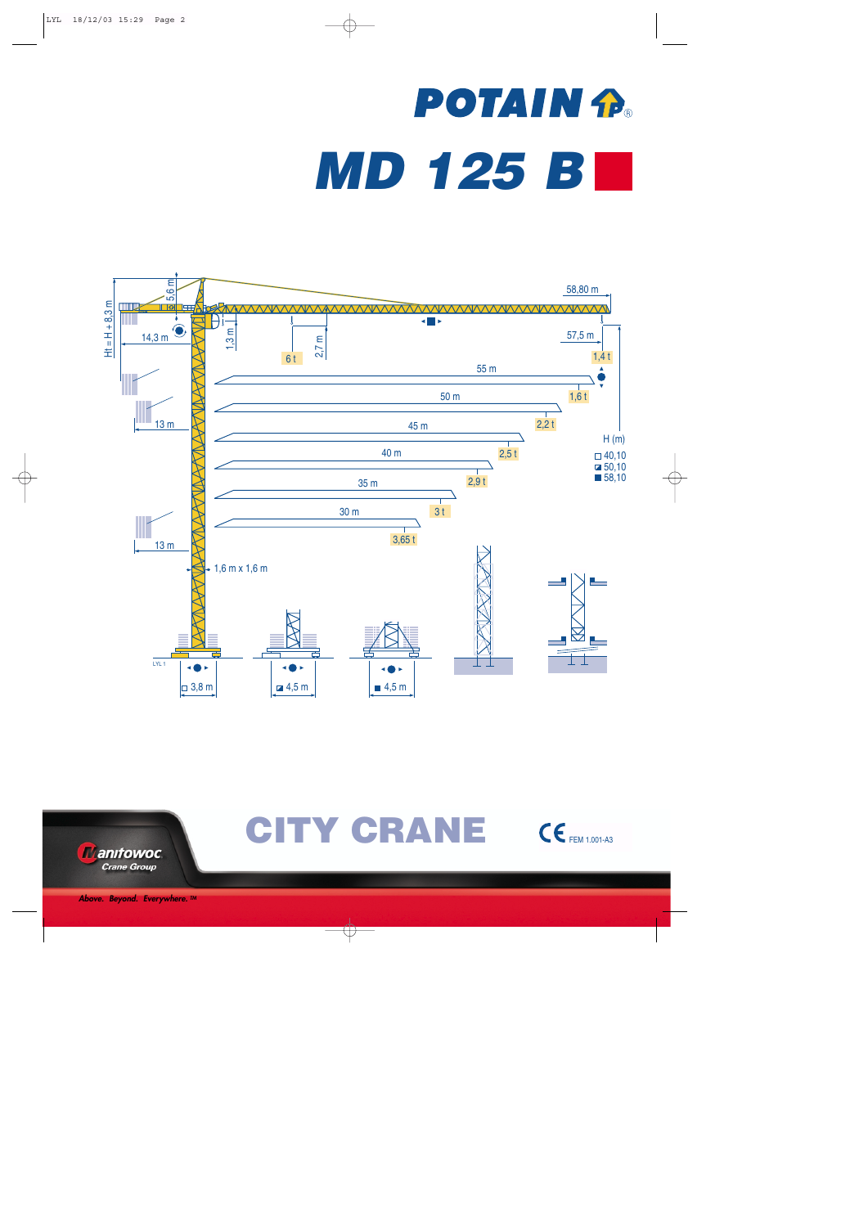# **POTAIN R** *MD 125 B*





CITY CRANE CE FEM 1.001-A3

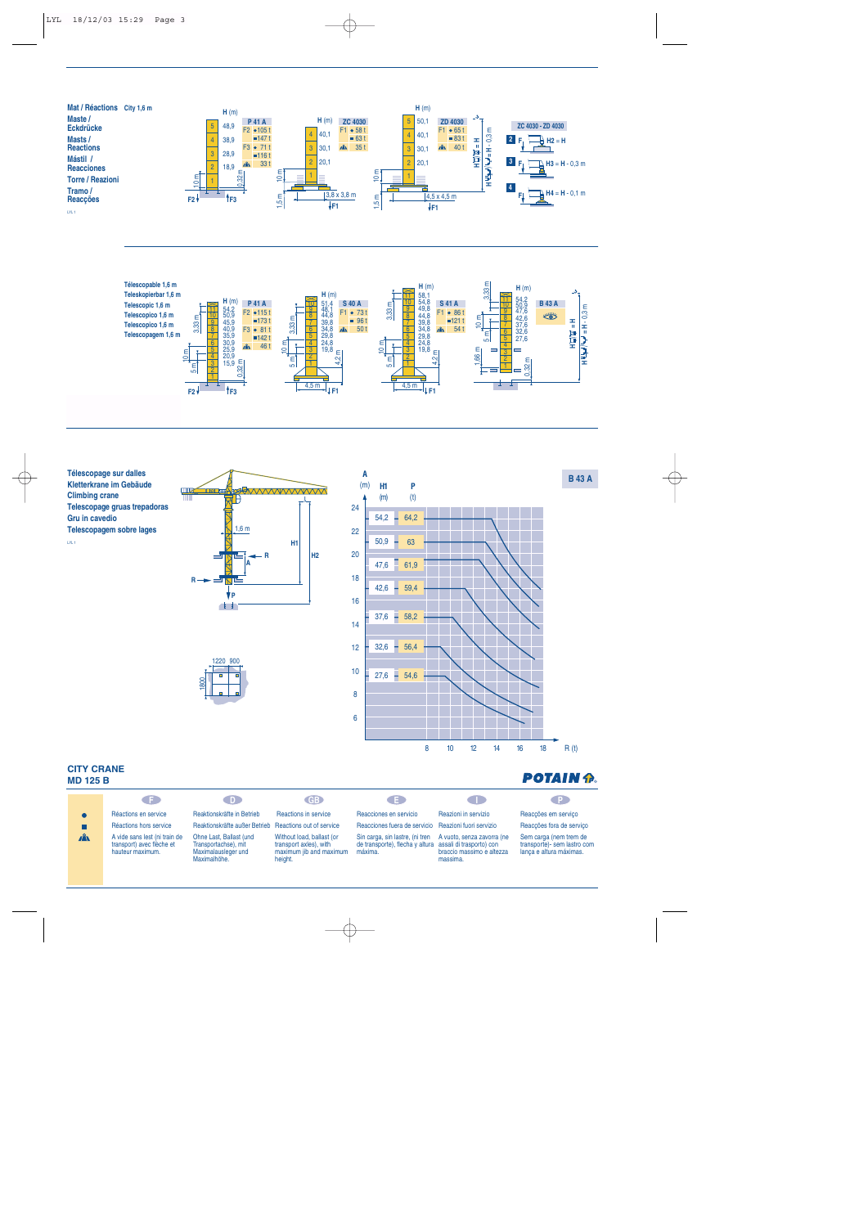





### **CITY CRANE MD 125 B**

| <b>MD 125 B</b> |                                                                                |                                                                                        |                                                                                           |                                                                                                        |                                                                     | <b>POTAIN P.</b>                                                                 |
|-----------------|--------------------------------------------------------------------------------|----------------------------------------------------------------------------------------|-------------------------------------------------------------------------------------------|--------------------------------------------------------------------------------------------------------|---------------------------------------------------------------------|----------------------------------------------------------------------------------|
|                 | GE.                                                                            | D.                                                                                     | <b>GB</b>                                                                                 | GE.                                                                                                    |                                                                     |                                                                                  |
|                 | Réactions en service                                                           | Reaktionskräfte in Betrieb                                                             | <b>Reactions in service</b>                                                               | Reacciones en servicio                                                                                 | Reazioni in servizio                                                | Reaccões em servico                                                              |
|                 | Réactions hors service                                                         | Reaktionskräfte außer Betrieb                                                          | Reactions out of service                                                                  | Reacciones fuera de servicio Reazioni fuori servizio                                                   |                                                                     | Reacções fora de serviço                                                         |
| $\mathbf{A}$    | A vide sans lest (ni train de<br>transport) avec flèche et<br>hauteur maximum. | Ohne Last, Ballast (und<br>Transportachse), mit<br>Maximalausleger und<br>Maximalhöhe. | Without load, ballast (or<br>transport axles), with<br>maximum jib and maximum<br>height. | Sin carga, sin lastre, (ni tren<br>de transporte), flecha y altura assali di trasporto) con<br>máxima. | A vuoto, senza zavorra (ne<br>braccio massimo e altezza<br>massima. | Sem carga (nem trem de<br>transporte)- sem lastro com<br>lança e altura máximas. |

8 10 12 14 16 18

 $R(t)$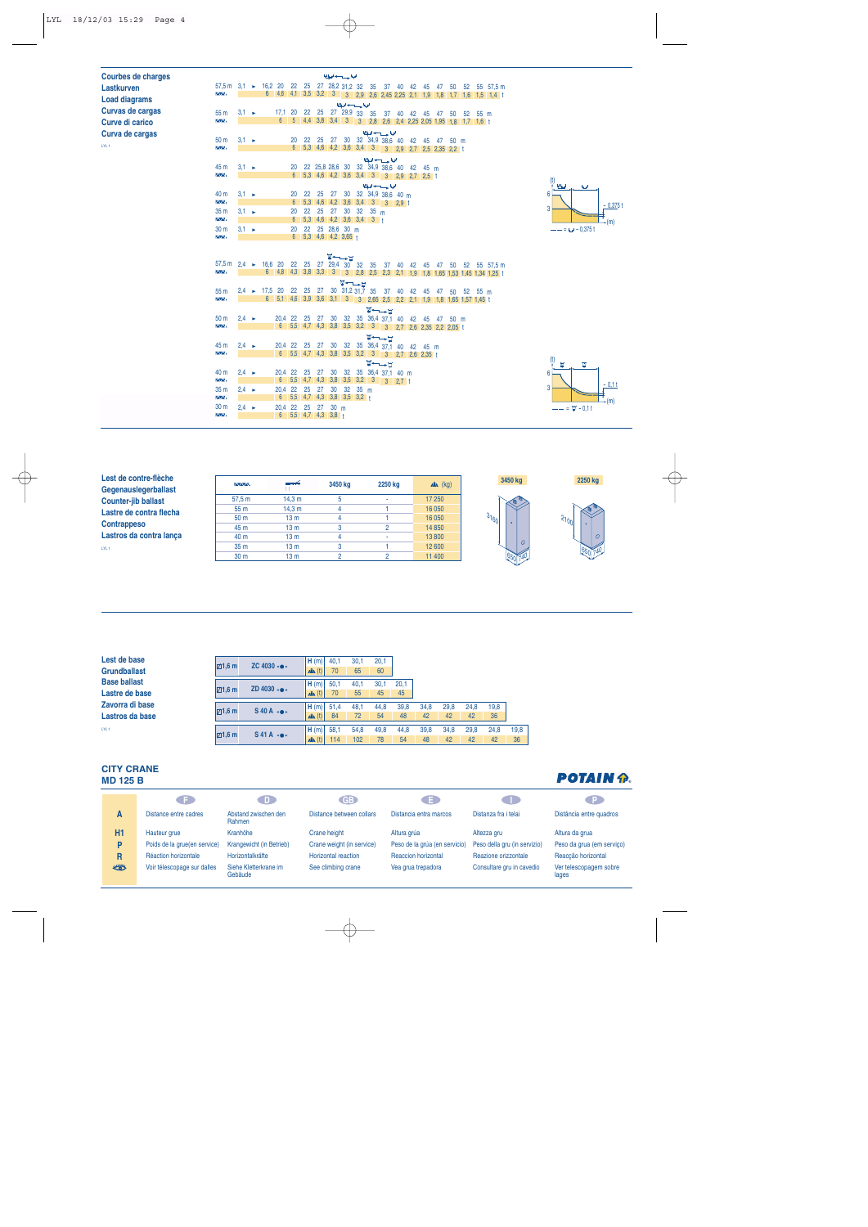| <b>Courbes de charges</b> |                                              |                   |                       |             |                       |                |                                                  |    | الملوا حسيب أوبا     |                 |    |    |                                         |    |             |       |    |         |                |                                                            |                                                                       |  |                   |   |           |  |
|---------------------------|----------------------------------------------|-------------------|-----------------------|-------------|-----------------------|----------------|--------------------------------------------------|----|----------------------|-----------------|----|----|-----------------------------------------|----|-------------|-------|----|---------|----------------|------------------------------------------------------------|-----------------------------------------------------------------------|--|-------------------|---|-----------|--|
| Lastkurven                | $57,5 \text{ m}$ 3.1                         |                   | $\blacktriangleright$ | 16,2 20     |                       | 22             | 25 27 28,2 31,2 32 35                            |    |                      |                 |    |    |                                         |    | 37 40 42 45 |       |    | 47 50   |                |                                                            | 52 55 57,5 m                                                          |  |                   |   |           |  |
| <b>Load diagrams</b>      | <b>AA</b>                                    |                   |                       |             |                       |                |                                                  |    |                      |                 |    |    |                                         |    |             |       |    |         |                |                                                            | 6 4,6 4,1 3,5 3,2 3 3 2,9 2,6 2,45 2,25 2,1 1,9 1,8 1,7 1,6 1,5 1,4 t |  |                   |   |           |  |
| Curvas de cargas          | 55 <sub>m</sub>                              | $3.1 \rightarrow$ |                       |             | 17,1                  | 20             | 22 25 27 29,9 33                                 |    |                      | الملحة سسبدانها |    |    | 35 37 40 42 45                          |    |             |       | 47 | 50      |                | 52 55 m                                                    |                                                                       |  |                   |   |           |  |
| Curve di carico           | $\overline{N}$                               |                   |                       |             | $6\overline{6}$       |                |                                                  |    |                      |                 |    |    |                                         |    |             |       |    |         |                | 5 4,4 3,8 3,4 3 3 2,8 2,6 2,4 2,25 2,05 1,95 1,8 1,7 1,6 t |                                                                       |  |                   |   |           |  |
| Curva de cargas           |                                              |                   |                       |             |                       |                |                                                  |    |                      |                 |    |    | الملوا سنستبدلوا                        |    |             |       |    |         |                |                                                            |                                                                       |  |                   |   |           |  |
|                           | 50 <sub>m</sub>                              | $3,1 \rightarrow$ |                       |             |                       | 20             | 22                                               | 25 | -27                  |                 |    |    | 30 32 34,9 38,6 40                      |    |             | 42 45 | 47 |         | $50 \text{ m}$ |                                                            |                                                                       |  |                   |   |           |  |
| LYL <sub>1</sub>          | <b>AA</b>                                    |                   |                       |             |                       |                | 6 5,3 4,6 4,2 3,6 3,4 3 3 2,9 2,7 2,5 2,35 2,2 t |    |                      |                 |    |    |                                         |    |             |       |    |         |                |                                                            |                                                                       |  |                   |   |           |  |
|                           | 45 m                                         |                   |                       |             |                       |                |                                                  |    |                      |                 |    |    | الملوا وسيدادوا                         |    |             |       |    |         |                |                                                            |                                                                       |  |                   |   |           |  |
|                           | $\overline{\Delta\Delta}$                    | $3.1 \rightarrow$ |                       |             |                       | 20             | 6 5,3 4,6 4,2 3,6 3,4 3 3 2,9 2,7 2,5 t          |    |                      |                 |    |    | 22 25,8 28,6 30 32 34,9 38,6 40 42 45 m |    |             |       |    |         |                |                                                            |                                                                       |  |                   |   |           |  |
|                           |                                              |                   |                       |             |                       |                |                                                  |    |                      |                 |    |    | الملحة وسيدادها                         |    |             |       |    |         |                |                                                            |                                                                       |  | (t)<br>أصطلة      | w |           |  |
|                           | 40 m                                         | $3.1 \rightarrow$ |                       |             |                       | 20             | 22                                               | 25 | 27                   |                 |    |    | 30 32 34,9 38.6 40 m                    |    |             |       |    |         |                |                                                            |                                                                       |  | 6                 |   |           |  |
|                           | $\sim$                                       |                   |                       |             |                       | 6 <sup>1</sup> | $5,3$ 4,6 4,2 3,6 3,4 3 3 2,9 t                  |    |                      |                 |    |    |                                         |    |             |       |    |         |                |                                                            |                                                                       |  |                   |   | $-0.375t$ |  |
|                           | 35 <sub>m</sub>                              | $3.1 \rightarrow$ |                       |             |                       | 20             | 22                                               | 25 | 27                   | 30              | 32 |    | 35 <sub>m</sub>                         |    |             |       |    |         |                |                                                            |                                                                       |  | 3                 |   |           |  |
|                           | <b>AAN</b><br>30 <sub>m</sub>                |                   |                       |             |                       |                | $6$ 5,3 4,6 4,2 3,6 3,4 3 $+$                    |    |                      |                 |    |    |                                         |    |             |       |    |         |                |                                                            |                                                                       |  |                   |   | (m)       |  |
|                           | $\overline{M}$                               | $3.1 \rightarrow$ |                       |             |                       | 20             | 22 25 28.6 30 m<br>6 5.3 4.6 4.2 3.65 +          |    |                      |                 |    |    |                                         |    |             |       |    |         |                |                                                            |                                                                       |  | $--=$ $- 0.375t$  |   |           |  |
|                           |                                              |                   |                       |             |                       |                |                                                  |    |                      |                 |    |    |                                         |    |             |       |    |         |                |                                                            |                                                                       |  |                   |   |           |  |
|                           |                                              |                   |                       |             |                       |                |                                                  |    | $\blacksquare$       |                 |    |    |                                         |    |             |       |    |         |                |                                                            |                                                                       |  |                   |   |           |  |
|                           | 57,5 m $2.4$ $\rightarrow$                   |                   |                       |             | 16,6 20               |                | 22 25 27 29,4                                    |    |                      | $30^{\circ}$    | 32 | 35 |                                         |    | 37 40 42 45 |       | 47 | 50      |                |                                                            | 52 55 57.5 m                                                          |  |                   |   |           |  |
|                           | $\overline{N}$                               |                   |                       |             | 6 4,8 4,3 3,8 3,3 3   |                |                                                  |    |                      | 3               |    |    |                                         |    |             |       |    |         |                |                                                            | 2,8 2,5 2,3 2,1 1,9 1,8 1,65 1,53 1,45 1,34 1,25 t                    |  |                   |   |           |  |
|                           | 55 <sub>m</sub>                              | 2,4               | $\blacktriangleright$ | 17,5        | 20                    |                | 22 25                                            |    | $27$ 30 31,2 31,7 35 | <b>प−−</b> प    |    |    | 37                                      | 40 | 42          | 45    | 47 | 50      |                | 52                                                         | $55 \text{ m}$                                                        |  |                   |   |           |  |
|                           | $\overline{N}$                               |                   |                       | $6^{\circ}$ | $5,1$ 4,6 3,9 3,6 3,1 |                |                                                  |    |                      | $\sqrt{3}$      |    |    |                                         |    |             |       |    |         |                | 3 2,65 2,5 2,2 2,1 1,9 1,8 1,65 1,57 1,45 t                |                                                                       |  |                   |   |           |  |
|                           |                                              |                   |                       |             |                       |                |                                                  |    |                      |                 |    |    | <b>W←→H</b>                             |    |             |       |    |         |                |                                                            |                                                                       |  |                   |   |           |  |
|                           | 50 <sub>m</sub>                              | $2.4 \rightarrow$ |                       |             | 20.4                  | 22             | 25                                               | 27 | 30                   | 32              |    |    | 35 36,4 37,1 40 42 45                   |    |             |       |    | 47 50 m |                |                                                            |                                                                       |  |                   |   |           |  |
|                           | <b>AA</b>                                    |                   |                       |             | $6^{\circ}$           |                | 5,5 4,7 4,3 3,8 3,5 3,2                          |    |                      |                 |    |    | 3 3 2,7 2,6 2,35 2,2 2,05 t             |    |             |       |    |         |                |                                                            |                                                                       |  |                   |   |           |  |
|                           |                                              |                   |                       |             |                       |                |                                                  |    |                      |                 |    |    | W←                                      |    |             |       |    |         |                |                                                            |                                                                       |  |                   |   |           |  |
|                           | 45 m<br><b>AA</b>                            | $2.4 \rightarrow$ |                       |             | 20.4<br>$6^{\circ}$   | 22             | 25<br>5,5 4,7 4,3 3,8 3,5 3,2 3 3 2,7 2,6 2,35 t | 27 | 30                   | 32              |    |    | 35 36,4 37,1 40 42 45 m                 |    |             |       |    |         |                |                                                            |                                                                       |  |                   |   |           |  |
|                           |                                              |                   |                       |             |                       |                |                                                  |    |                      |                 |    |    | <b>W←→⊔</b>                             |    |             |       |    |         |                |                                                            |                                                                       |  | (t)<br>M          | Ħ |           |  |
|                           | 40 m                                         | $2.4 \rightarrow$ |                       |             | 20,4                  | 22             | 25                                               | 27 | 30                   |                 |    |    | 32 35 36,4 37,1 40 m                    |    |             |       |    |         |                |                                                            |                                                                       |  | 6                 |   |           |  |
|                           | <b>AA</b>                                    |                   |                       |             |                       |                | 6 5,5 4,7 4,3 3,8 3,5 3,2 3 3 2,7 t              |    |                      |                 |    |    |                                         |    |             |       |    |         |                |                                                            |                                                                       |  |                   |   | $-0,11$   |  |
|                           | 35 <sub>m</sub>                              | $2.4 \rightarrow$ |                       |             | 20,4                  | 22             | 25 27 30 32 35 m                                 |    |                      |                 |    |    |                                         |    |             |       |    |         |                |                                                            |                                                                       |  | 3                 |   |           |  |
|                           | $\overline{M}$                               |                   |                       |             |                       |                | 6 5,5 4,7 4,3 3,8 3,5 3,2 t                      |    |                      |                 |    |    |                                         |    |             |       |    |         |                |                                                            |                                                                       |  |                   |   | (m)       |  |
|                           | 30 <sub>m</sub><br>$\overline{\Delta\Delta}$ | $2.4 \rightarrow$ |                       |             | 20,4                  |                | 22 25 27 30 m<br>6 5,5 4,7 4,3 3,8 t             |    |                      |                 |    |    |                                         |    |             |       |    |         |                |                                                            |                                                                       |  | $--- = 47 - 0.11$ |   |           |  |
|                           |                                              |                   |                       |             |                       |                |                                                  |    |                      |                 |    |    |                                         |    |             |       |    |         |                |                                                            |                                                                       |  |                   |   |           |  |

| Lest de contre-flèche      | $\sim$          | <u> 254 p</u>   | 3450 kg | 2250 kg | $x^2$ (kg) | 3450 kg        | 2250 kg        |
|----------------------------|-----------------|-----------------|---------|---------|------------|----------------|----------------|
| Gegenauslegerballast       |                 |                 |         |         |            |                |                |
| <b>Counter-jib ballast</b> | 57.5 m          | 14.3 m          |         |         | 17 250     |                |                |
| Lastre de contra flecha    | 55 m            | 14.3 m          |         |         | 16 050     |                |                |
|                            | 50 <sub>m</sub> | 13 <sub>m</sub> |         |         | 16 050     | 31601          | 51001          |
| <b>Contrappeso</b>         | 45 m            | 13 <sub>m</sub> |         |         | 14 8 50    |                |                |
| Lastros da contra lança    | 40 m            | 13 <sub>m</sub> |         |         | 13800      |                | $\overline{O}$ |
| LYL <sub>1</sub>           | 35 <sub>m</sub> | 13 <sub>m</sub> |         |         | 12 600     | $\overline{O}$ |                |
|                            | 30 <sub>m</sub> | 13 <sub>m</sub> |         |         | 11 400     |                |                |
|                            |                 |                 |         |         |            |                |                |

| Lest de base<br><b>Grundballast</b>   | $\boxtimes$ 1,6 m | ZC $4030 \cdot \bullet \cdot$     | H(m)<br>$\mathbf{A}$ (t) | 40.1<br>70  | 30,1<br>65  | 20.1<br>60 |            |            |            |            |            |            |
|---------------------------------------|-------------------|-----------------------------------|--------------------------|-------------|-------------|------------|------------|------------|------------|------------|------------|------------|
| <b>Base ballast</b><br>Lastre de base | $\boxdot$ 1,6 m   | ZD $4030 \cdot \bullet \cdot$     | H(m)<br>$\mathbf{A}$ (t) | 50.1<br>70  | 40,1<br>55  | 30,1<br>45 | 20.1<br>45 |            |            |            |            |            |
| Zavorra di base<br>Lastros da base    | $\boxdot$ 1,6 m   | $S$ 40 A $\cdot \bullet \cdot$    | H(m)<br>$\mathbf{A}$ (t) | 51.4<br>84  | 48,1<br>72  | 44,8<br>54 | 39,8<br>48 | 34,8<br>42 | 29,8<br>42 | 24,8<br>42 | 19.8<br>36 |            |
| LYL <sub>1</sub>                      | $\boxdot$ 1,6 m   | $S$ 41A $\cdot$ $\bullet$ $\cdot$ | H(m)<br>$\mathbf{A}$ (t) | 58.1<br>114 | 54.8<br>102 | 49,8<br>78 | 44.8<br>54 | 39,8<br>48 | 34,8<br>42 | 29,8<br>42 | 24.8<br>42 | 19.8<br>36 |

#### **CITY CRANE MD 125 B**

|    | G F 1                        | DD.                              | $\mathsf{G}\mathsf{B}$ )   | 8 E I                         | a sa ba                      | . P.                            |
|----|------------------------------|----------------------------------|----------------------------|-------------------------------|------------------------------|---------------------------------|
| A  | Distance entre cadres        | Abstand zwischen den<br>Rahmen   | Distance between collars   | Distancia entra marcos        | Distanza fra i telai         | Distância entre quadros         |
| H1 | Hauteur grue                 | Kranhöhe                         | Crane height               | Altura grúa                   | Altezza gru                  | Altura da grua                  |
| P  | Poids de la grue(en service) | Krangewicht (in Betrieb)         | Crane weight (in service)  | Peso de la grúa (en servicio) | Peso della gru (in servizio) | Peso da grua (em serviço)       |
| R  | Réaction horizontale         | Horizontalkräfte                 | <b>Horizontal reaction</b> | <b>Reaccion horizontal</b>    | Reazione orizzontale         | Reaccão horizontal              |
| ₩  | Voir télescopage sur dalles  | Siehe Kletterkrane im<br>Gebäude | See climbing crane         | Vea grua trepadora            | Consultare gru in cavedio    | Ver telescopagem sobre<br>lages |

## **POTAIN P.**